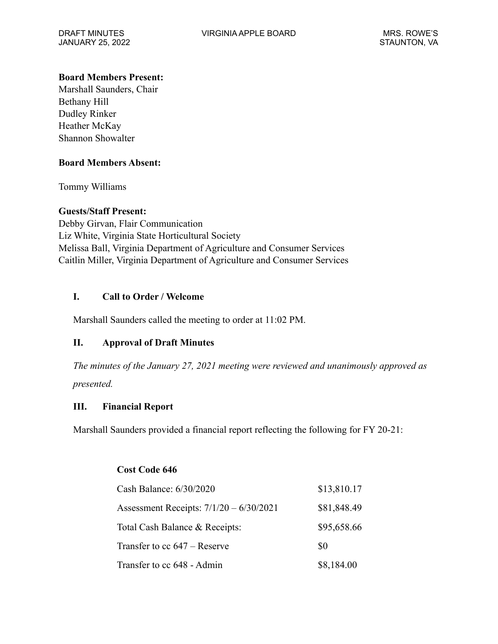JANUARY 25, 2022 STAUNTON, VA

## **Board Members Present:**

Marshall Saunders, Chair Bethany Hill Dudley Rinker Heather McKay Shannon Showalter

### **Board Members Absent:**

Tommy Williams

# **Guests/Staff Present:**

Debby Girvan, Flair Communication Liz White, Virginia State Horticultural Society Melissa Ball, Virginia Department of Agriculture and Consumer Services Caitlin Miller, Virginia Department of Agriculture and Consumer Services

# **I. Call to Order / Welcome**

Marshall Saunders called the meeting to order at 11:02 PM.

# **II. Approval of Draft Minutes**

*The minutes of the January 27, 2021 meeting were reviewed and unanimously approved as presented.* 

### **III. Financial Report**

Marshall Saunders provided a financial report reflecting the following for FY 20-21:

### **Cost Code 646**

| Cash Balance: 6/30/2020                   | \$13,810.17 |
|-------------------------------------------|-------------|
| Assessment Receipts: $7/1/20 - 6/30/2021$ | \$81,848.49 |
| Total Cash Balance & Receipts:            | \$95,658.66 |
| Transfer to cc $647$ – Reserve            | \$0         |
| Transfer to cc 648 - Admin                | \$8,184.00  |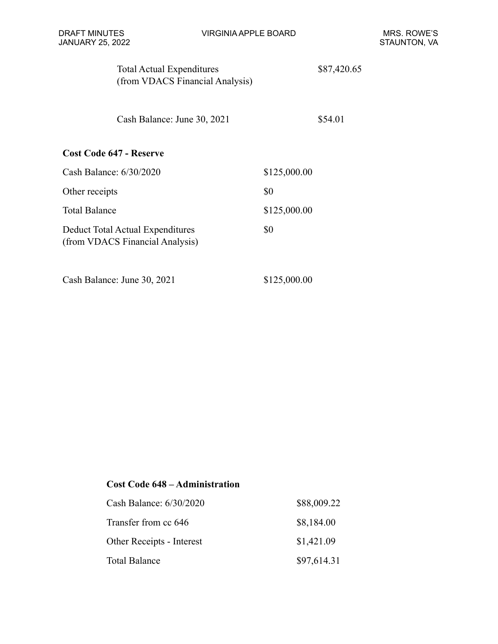| <b>Total Actual Expenditures</b><br>(from VDACS Financial Analysis)        |              | \$87,420.65 |
|----------------------------------------------------------------------------|--------------|-------------|
| Cash Balance: June 30, 2021                                                |              | \$54.01     |
| <b>Cost Code 647 - Reserve</b>                                             |              |             |
| Cash Balance: 6/30/2020                                                    | \$125,000.00 |             |
| Other receipts                                                             | \$0          |             |
| <b>Total Balance</b>                                                       | \$125,000.00 |             |
| <b>Deduct Total Actual Expenditures</b><br>(from VDACS Financial Analysis) | \$0          |             |
| Cash Balance: June 30, 2021                                                | \$125,000.00 |             |

# **Cost Code 648 – Administration**

| Cash Balance: 6/30/2020   | \$88,009.22 |
|---------------------------|-------------|
| Transfer from cc 646      | \$8,184.00  |
| Other Receipts - Interest | \$1,421.09  |
| <b>Total Balance</b>      | \$97,614.31 |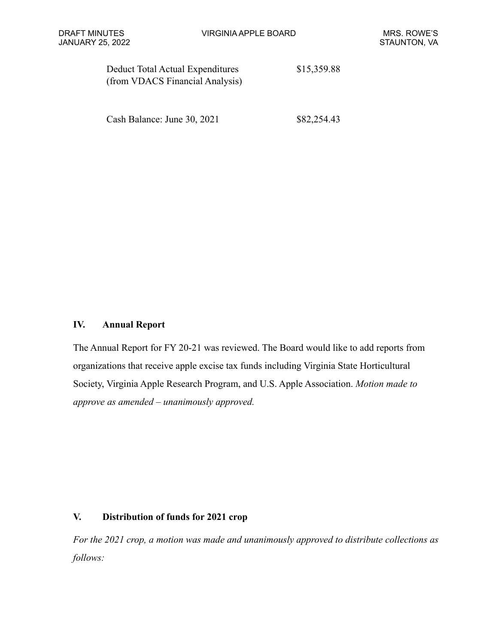| Deduct Total Actual Expenditures | \$15,359.88 |
|----------------------------------|-------------|
| (from VDACS Financial Analysis)  |             |

Cash Balance: June 30, 2021 \$82,254.43

### **IV. Annual Report**

The Annual Report for FY 20-21 was reviewed. The Board would like to add reports from organizations that receive apple excise tax funds including Virginia State Horticultural Society, Virginia Apple Research Program, and U.S. Apple Association. *Motion made to approve as amended – unanimously approved.* 

### **V. Distribution of funds for 2021 crop**

*For the 2021 crop, a motion was made and unanimously approved to distribute collections as follows:*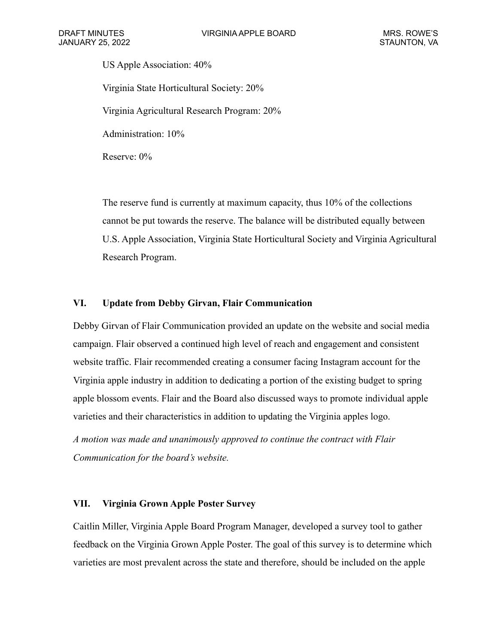US Apple Association: 40% Virginia State Horticultural Society: 20% Virginia Agricultural Research Program: 20% Administration: 10% Reserve: 0%

The reserve fund is currently at maximum capacity, thus 10% of the collections cannot be put towards the reserve. The balance will be distributed equally between U.S. Apple Association, Virginia State Horticultural Society and Virginia Agricultural Research Program.

### **VI. Update from Debby Girvan, Flair Communication**

Debby Girvan of Flair Communication provided an update on the website and social media campaign. Flair observed a continued high level of reach and engagement and consistent website traffic. Flair recommended creating a consumer facing Instagram account for the Virginia apple industry in addition to dedicating a portion of the existing budget to spring apple blossom events. Flair and the Board also discussed ways to promote individual apple varieties and their characteristics in addition to updating the Virginia apples logo.

*A motion was made and unanimously approved to continue the contract with Flair Communication for the board's website.*

#### **VII. Virginia Grown Apple Poster Survey**

Caitlin Miller, Virginia Apple Board Program Manager, developed a survey tool to gather feedback on the Virginia Grown Apple Poster. The goal of this survey is to determine which varieties are most prevalent across the state and therefore, should be included on the apple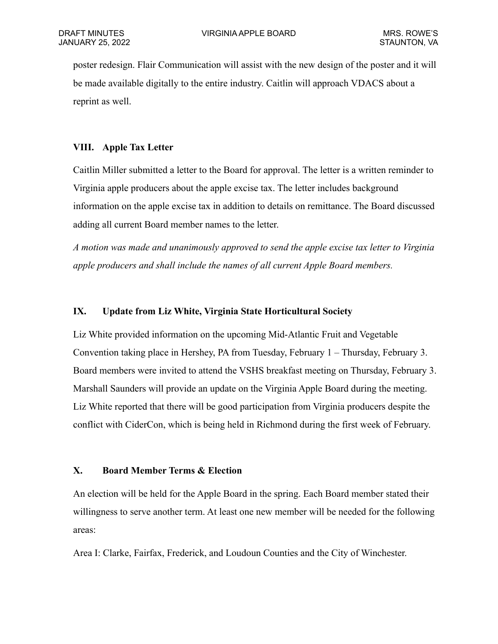poster redesign. Flair Communication will assist with the new design of the poster and it will be made available digitally to the entire industry. Caitlin will approach VDACS about a reprint as well.

## **VIII. Apple Tax Letter**

Caitlin Miller submitted a letter to the Board for approval. The letter is a written reminder to Virginia apple producers about the apple excise tax. The letter includes background information on the apple excise tax in addition to details on remittance. The Board discussed adding all current Board member names to the letter.

*A motion was made and unanimously approved to send the apple excise tax letter to Virginia apple producers and shall include the names of all current Apple Board members.*

### **IX. Update from Liz White, Virginia State Horticultural Society**

Liz White provided information on the upcoming Mid-Atlantic Fruit and Vegetable Convention taking place in Hershey, PA from Tuesday, February 1 – Thursday, February 3. Board members were invited to attend the VSHS breakfast meeting on Thursday, February 3. Marshall Saunders will provide an update on the Virginia Apple Board during the meeting. Liz White reported that there will be good participation from Virginia producers despite the conflict with CiderCon, which is being held in Richmond during the first week of February.

#### **X. Board Member Terms & Election**

An election will be held for the Apple Board in the spring. Each Board member stated their willingness to serve another term. At least one new member will be needed for the following areas:

Area I: Clarke, Fairfax, Frederick, and Loudoun Counties and the City of Winchester.